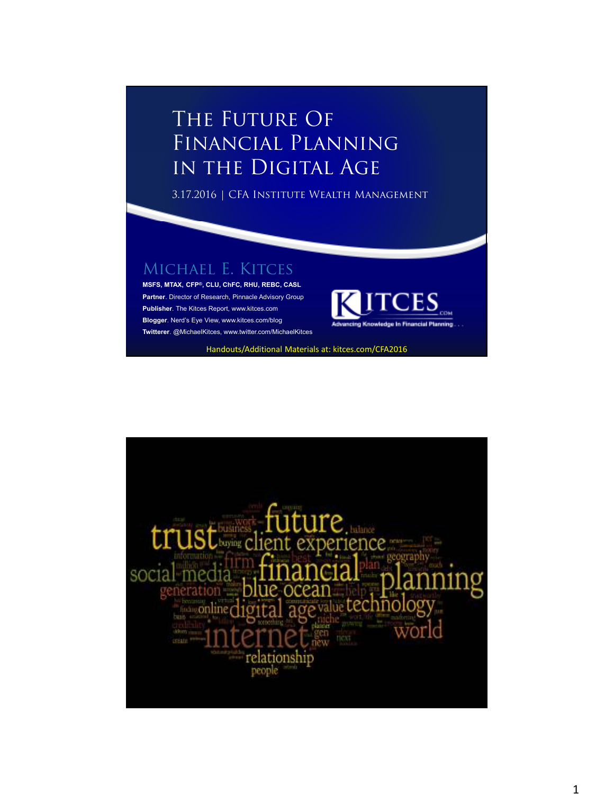## THE FUTURE OF Financial Planning in the Digital Age

3.17.2016 | CFA Institute Wealth Management

## MICHAEL E. KITCES

**MSFS, MTAX, CFP®, CLU, ChFC, RHU, REBC, CASL Partner**. Director of Research, Pinnacle Advisory Group **Publisher**. The Kitces Report, www.kitces.com **Blogger**. Nerd's Eye View, www.kitces.com/blog **Twitterer**. @MichaelKitces, www.twitter.com/MichaelKitces



Handouts/Additional Materials at: kitces.com/CFA2016

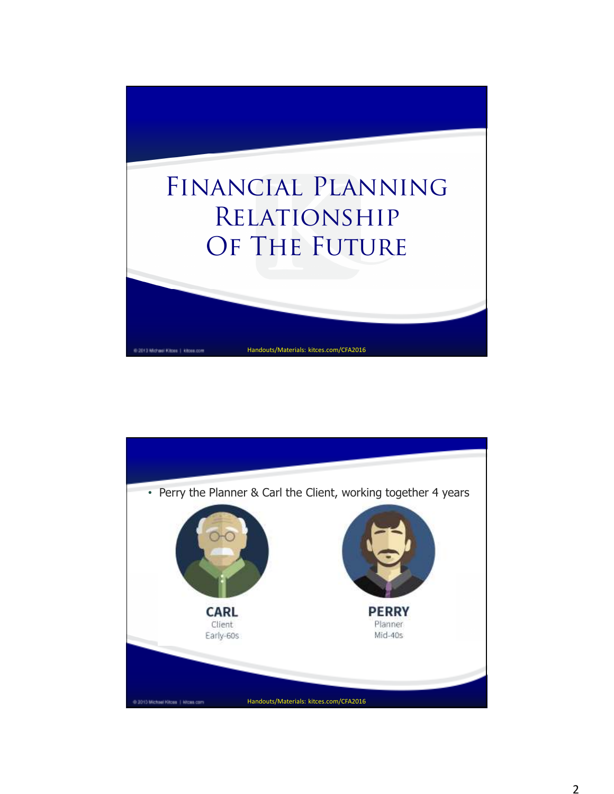

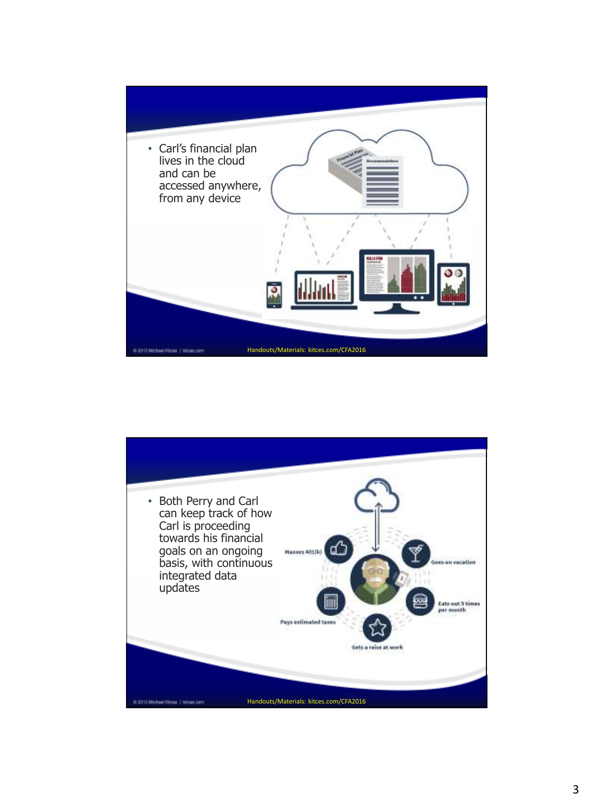

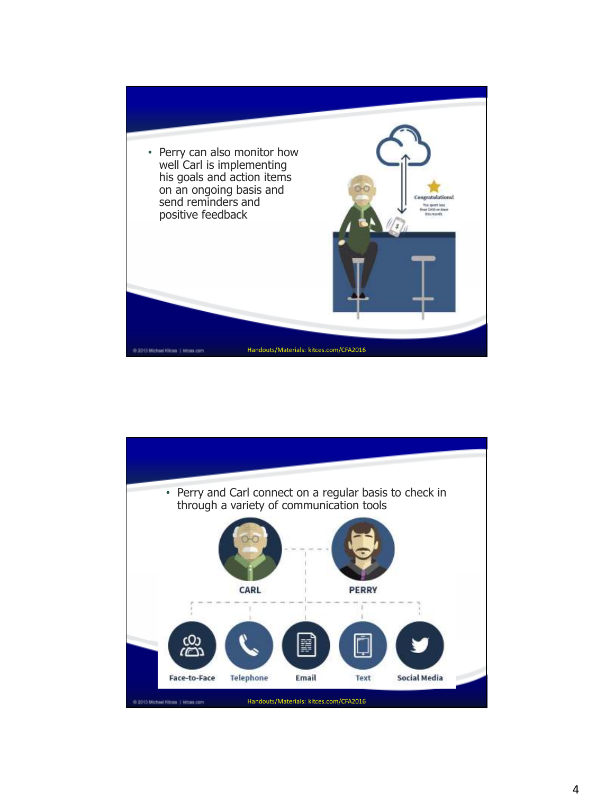

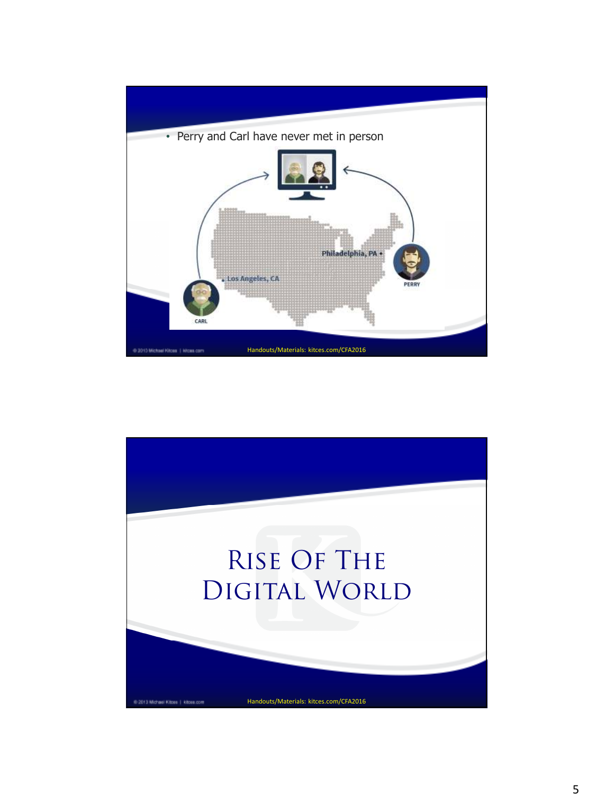

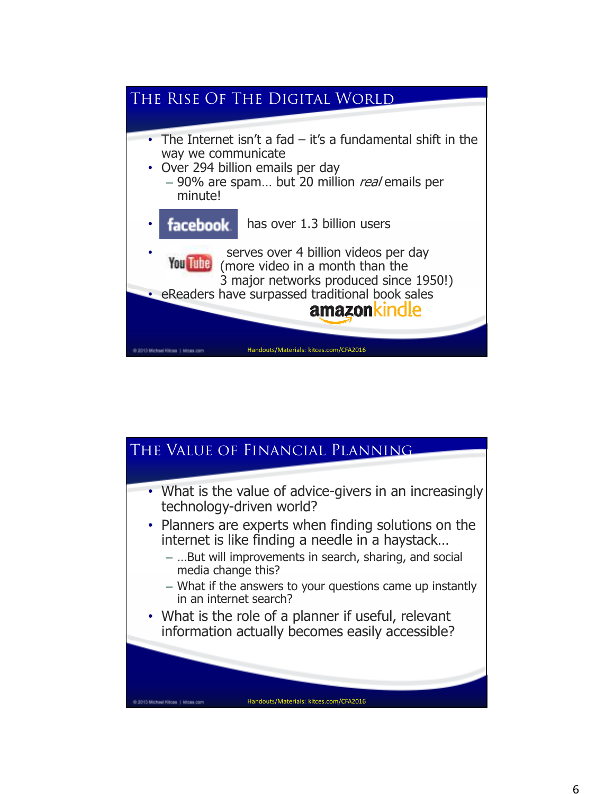

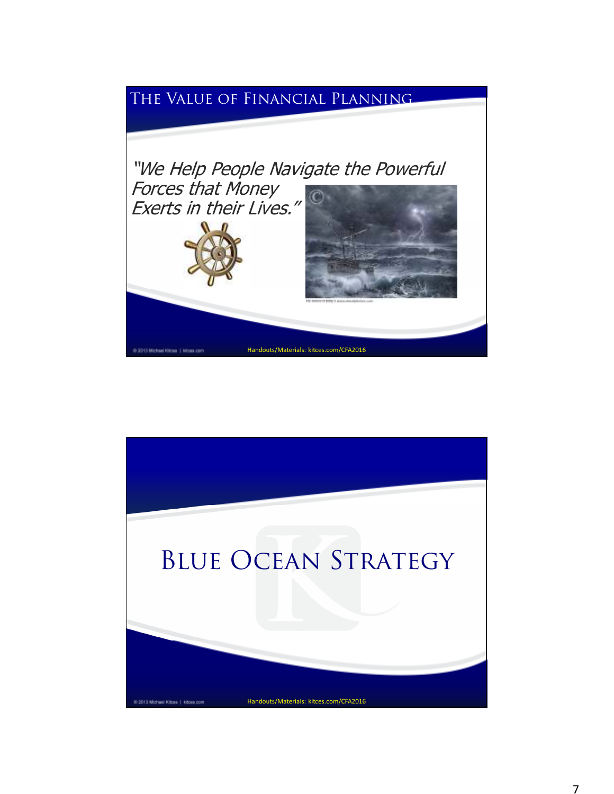## The Value of Financial Planning



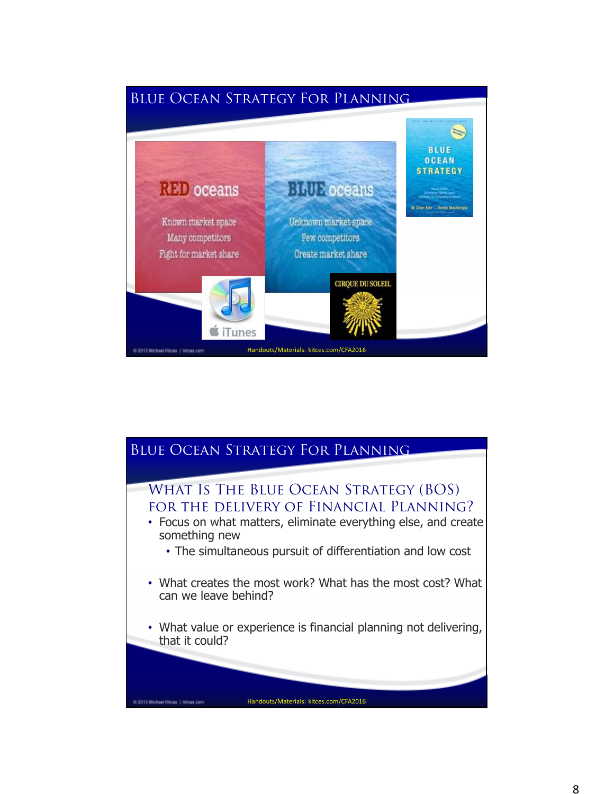

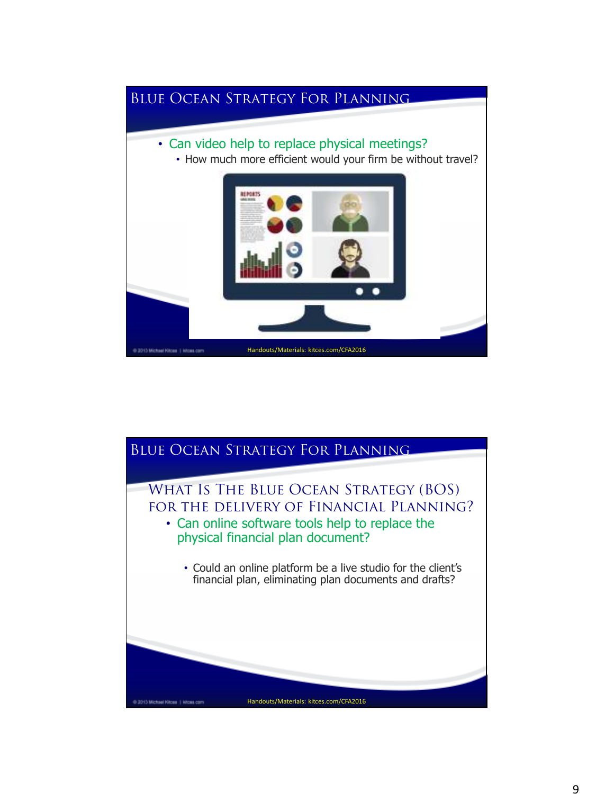

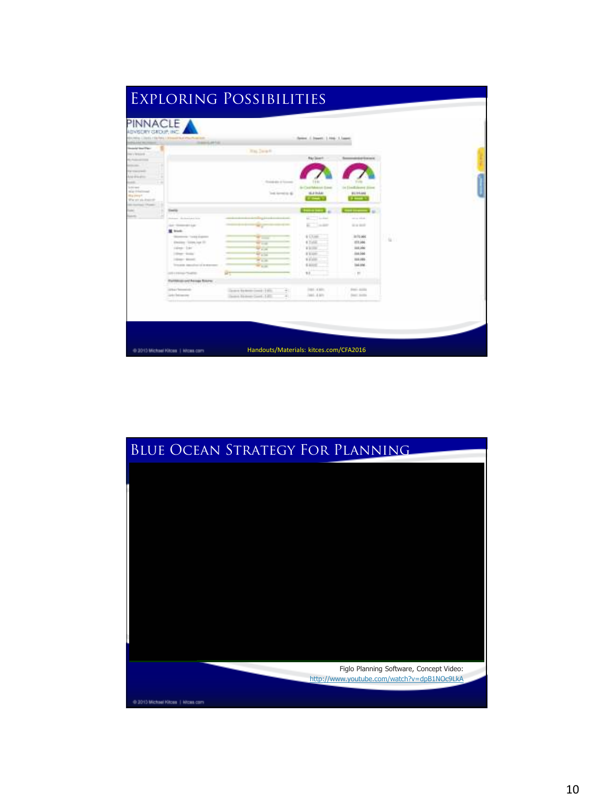

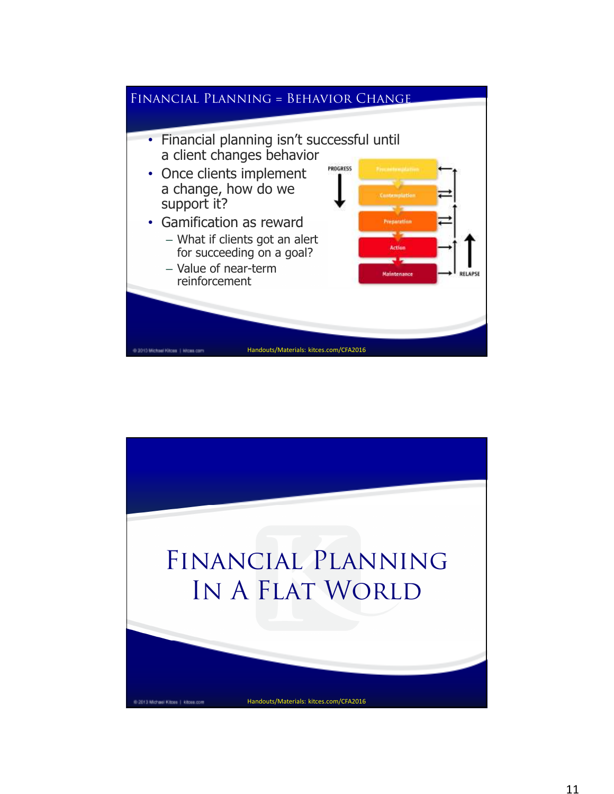

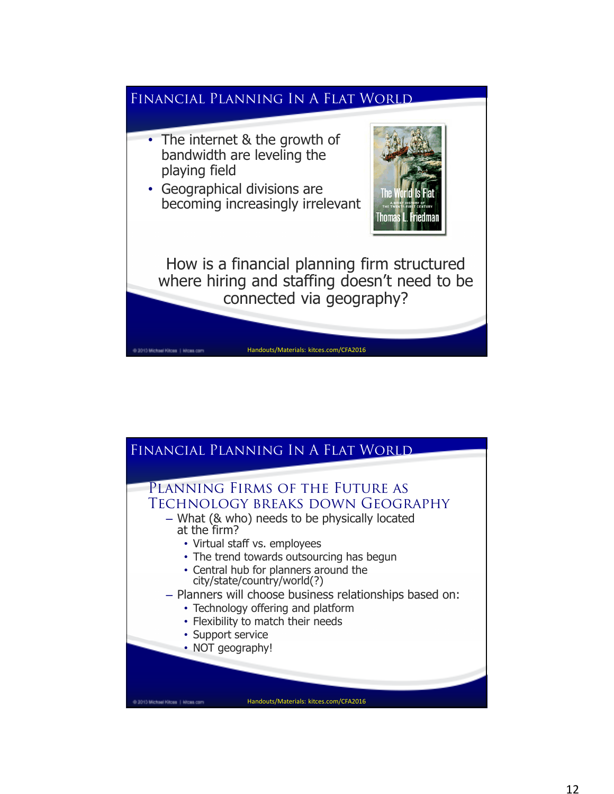

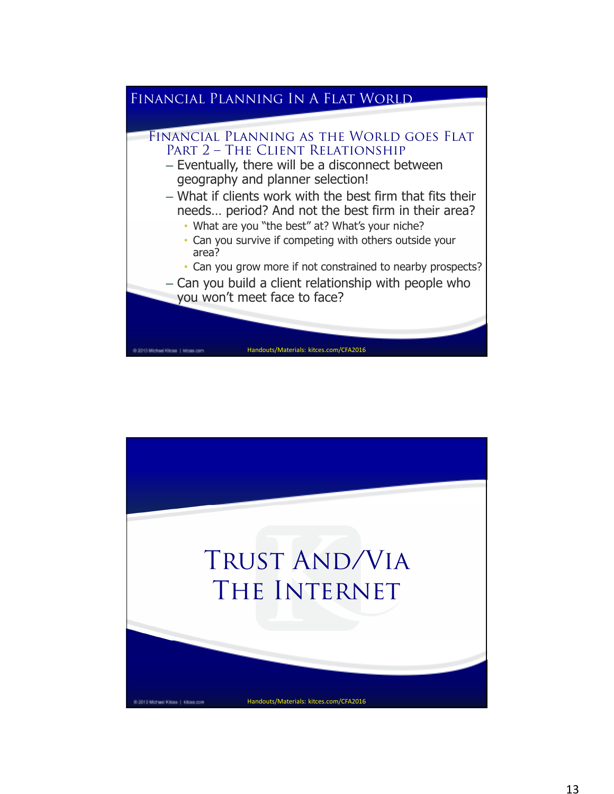

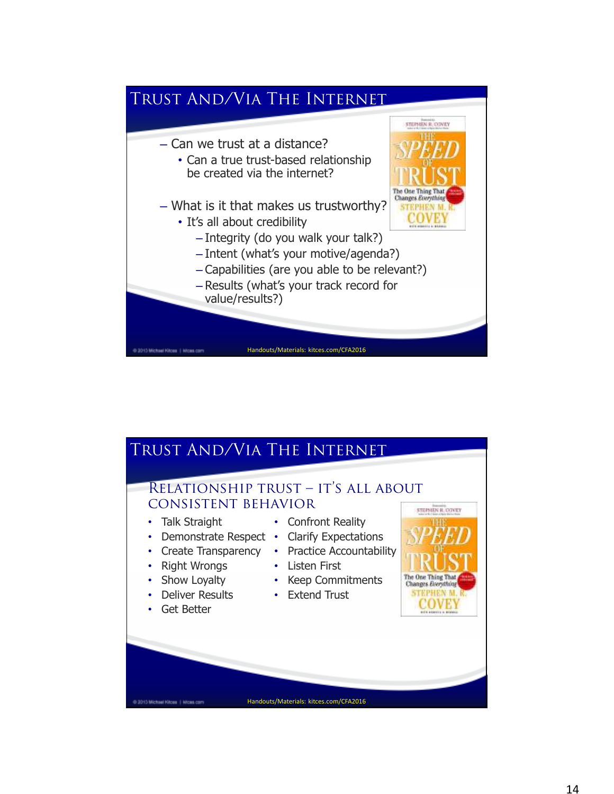

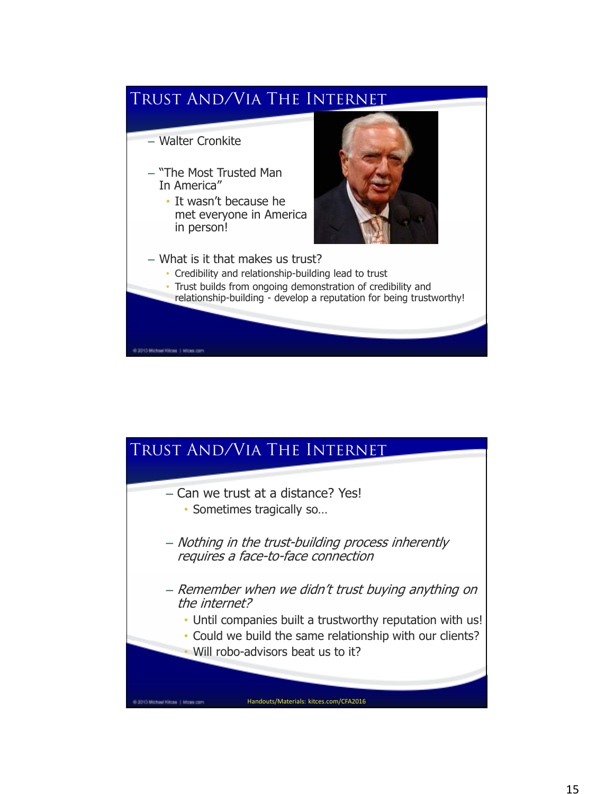

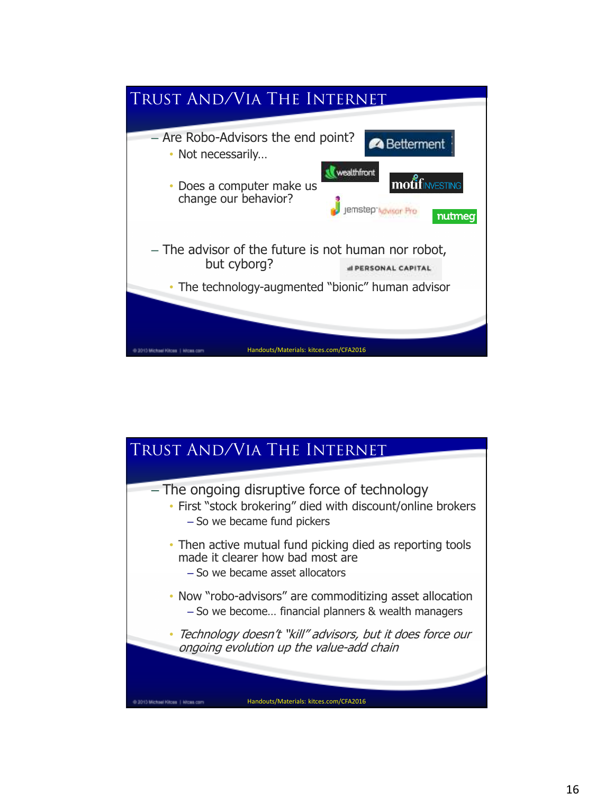

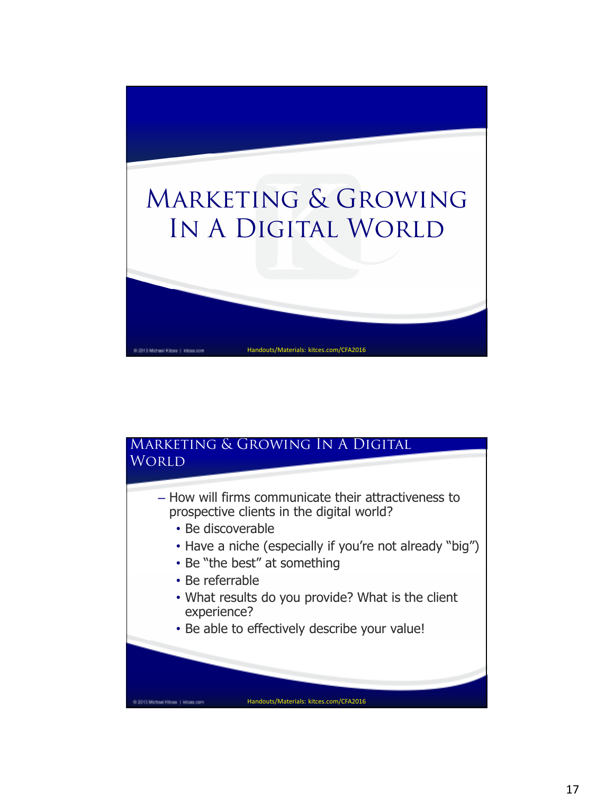

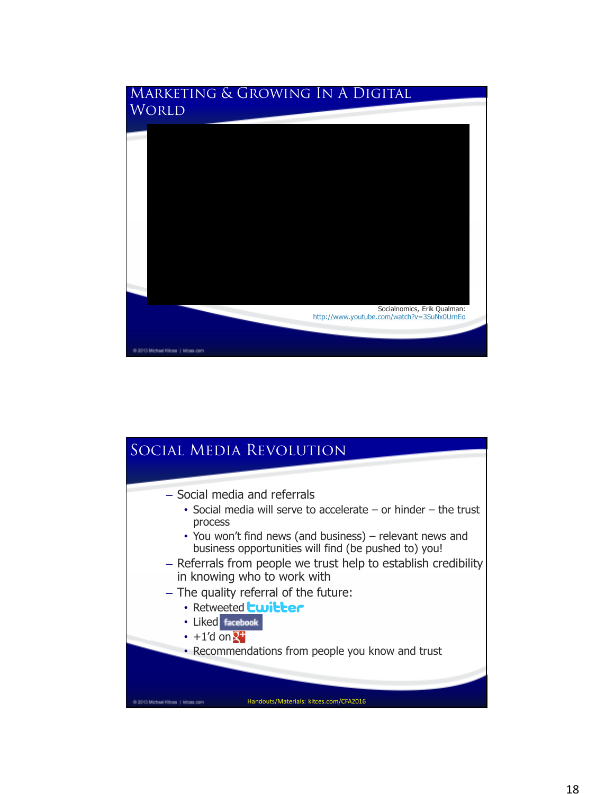

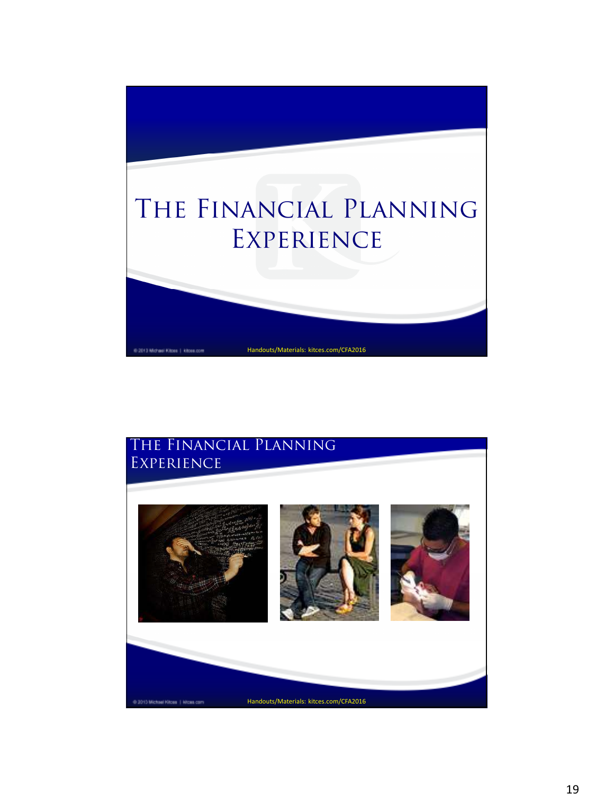

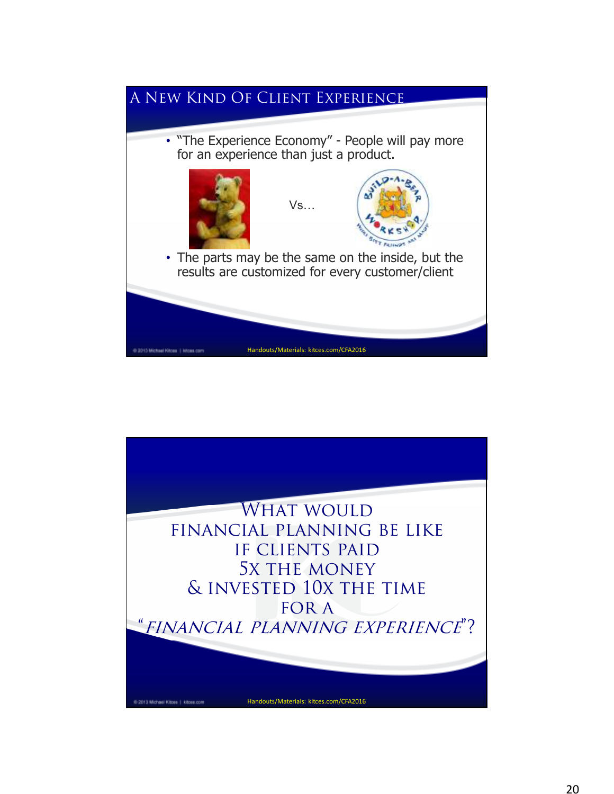